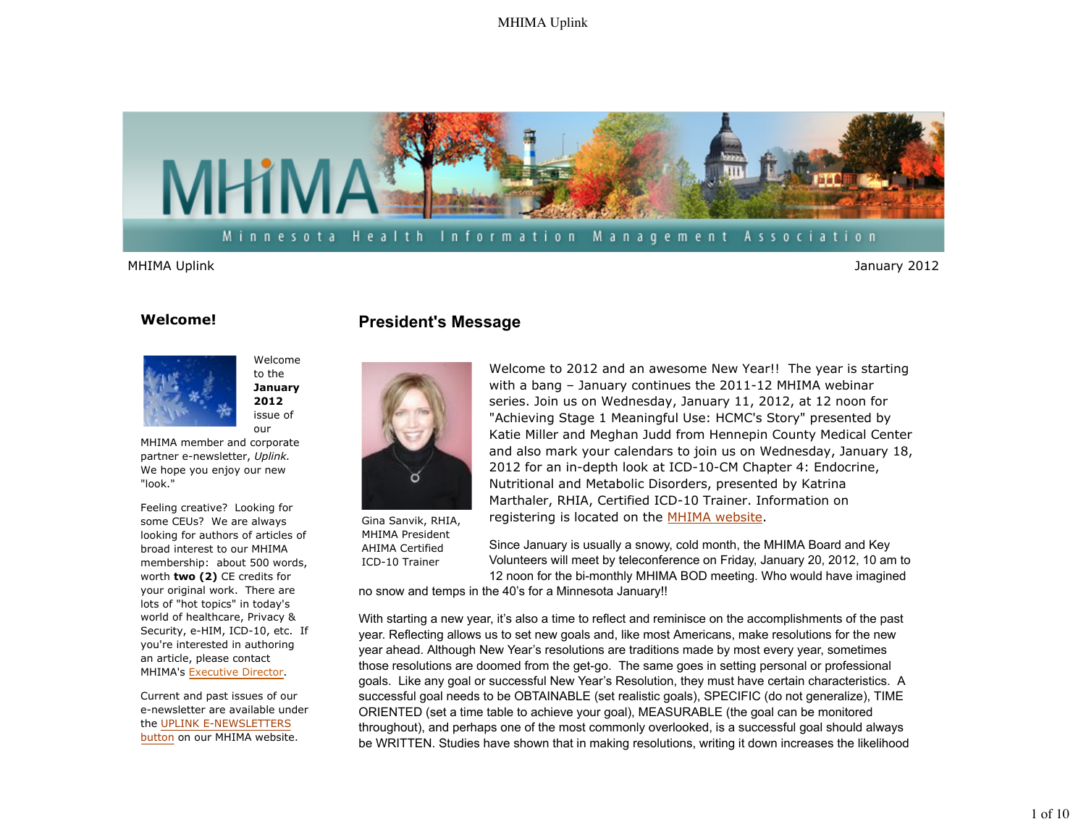

Minnesota Health Information Management Association

MHIMA Uplink January 2012

### **Welcome!**



Welcome to the **January 2012** issue of our

MHIMA member and corporate partner e-newsletter, *Uplink.*  We hope you enjoy our new "look."

Feeling creative? Looking for some CEUs? We are always looking for authors of articles of broad interest to our MHIMA membership: about 500 words, worth **two (2)** CE credits for your original work. There are lots of "hot topics" in today's world of healthcare, Privacy & Security, e-HIM, ICD-10, etc. If you're interested in authoring an article, please contact MHIMA's Executive Director.

Current and past issues of our e-newsletter are available under the UPLINK E-NEWSLETTERS button on our MHIMA website.

## **President's Message**



Gina Sanvik, RHIA, MHIMA President AHIMA Certified ICD-10 Trainer

Welcome to 2012 and an awesome New Year!! The year is starting with a bang – January continues the 2011-12 MHIMA webinar series. Join us on Wednesday, January 11, 2012, at 12 noon for "Achieving Stage 1 Meaningful Use: HCMC's Story" presented by Katie Miller and Meghan Judd from Hennepin County Medical Center and also mark your calendars to join us on Wednesday, January 18, 2012 for an in-depth look at ICD-10-CM Chapter 4: Endocrine, Nutritional and Metabolic Disorders, presented by Katrina Marthaler, RHIA, Certified ICD-10 Trainer. Information on registering is located on the MHIMA website.

Since January is usually a snowy, cold month, the MHIMA Board and Key Volunteers will meet by teleconference on Friday, January 20, 2012, 10 am to 12 noon for the bi-monthly MHIMA BOD meeting. Who would have imagined

no snow and temps in the 40's for a Minnesota January!!

With starting a new year, it's also a time to reflect and reminisce on the accomplishments of the past year. Reflecting allows us to set new goals and, like most Americans, make resolutions for the new year ahead. Although New Year's resolutions are traditions made by most every year, sometimes those resolutions are doomed from the get-go. The same goes in setting personal or professional goals. Like any goal or successful New Year's Resolution, they must have certain characteristics. A successful goal needs to be OBTAINABLE (set realistic goals), SPECIFIC (do not generalize), TIME ORIENTED (set a time table to achieve your goal), MEASURABLE (the goal can be monitored throughout), and perhaps one of the most commonly overlooked, is a successful goal should always be WRITTEN. Studies have shown that in making resolutions, writing it down increases the likelihood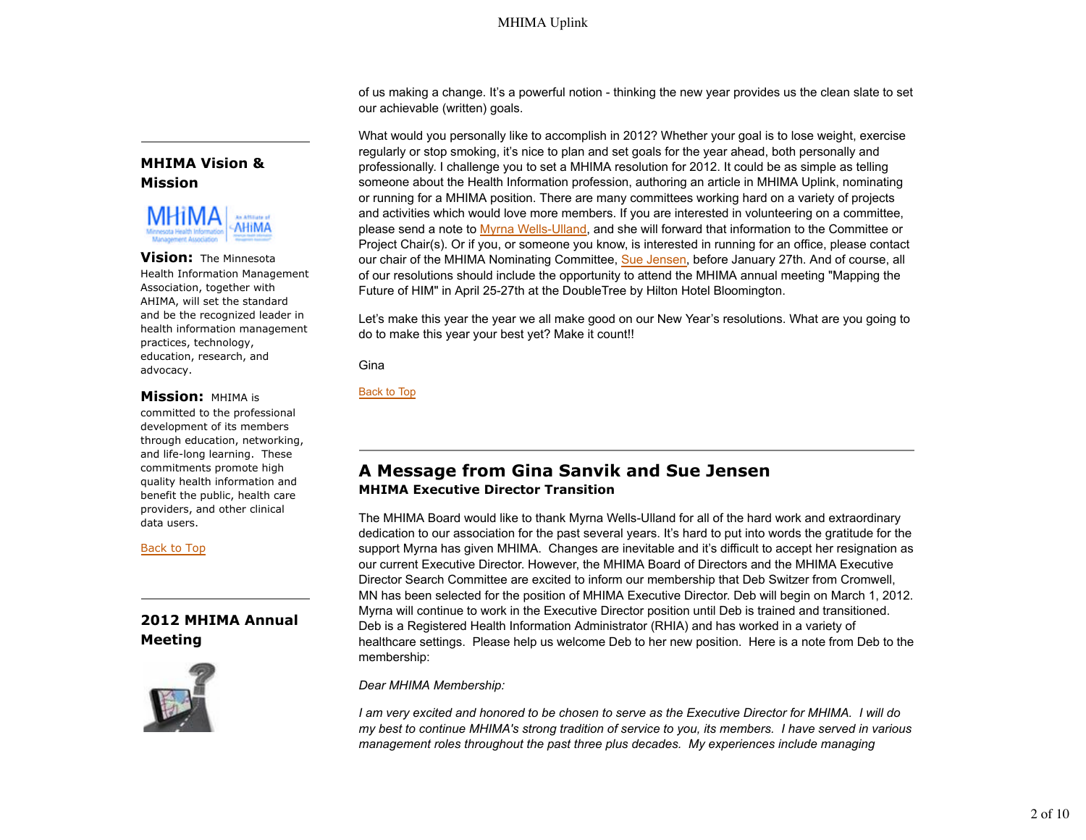of us making a change. It's a powerful notion - thinking the new year provides us the clean slate to set our achievable (written) goals.

What would you personally like to accomplish in 2012? Whether your goal is to lose weight, exercise regularly or stop smoking, it's nice to plan and set goals for the year ahead, both personally and professionally. I challenge you to set a MHIMA resolution for 2012. It could be as simple as telling someone about the Health Information profession, authoring an article in MHIMA Uplink, nominating or running for a MHIMA position. There are many committees working hard on a variety of projects and activities which would love more members. If you are interested in volunteering on a committee, please send a note to Myrna Wells-Ulland, and she will forward that information to the Committee or Project Chair(s). Or if you, or someone you know, is interested in running for an office, please contact our chair of the MHIMA Nominating Committee, Sue Jensen, before January 27th. And of course, all of our resolutions should include the opportunity to attend the MHIMA annual meeting "Mapping the Future of HIM" in April 25-27th at the DoubleTree by Hilton Hotel Bloomington.

Let's make this year the year we all make good on our New Year's resolutions. What are you going to do to make this year your best yet? Make it count!!

**Gina** 

Back to Top

# **A Message from Gina Sanvik and Sue Jensen MHIMA Executive Director Transition**

The MHIMA Board would like to thank Myrna Wells-Ulland for all of the hard work and extraordinary dedication to our association for the past several years. It's hard to put into words the gratitude for the support Myrna has given MHIMA. Changes are inevitable and it's difficult to accept her resignation as our current Executive Director. However, the MHIMA Board of Directors and the MHIMA Executive Director Search Committee are excited to inform our membership that Deb Switzer from Cromwell, MN has been selected for the position of MHIMA Executive Director. Deb will begin on March 1, 2012. Myrna will continue to work in the Executive Director position until Deb is trained and transitioned. Deb is a Registered Health Information Administrator (RHIA) and has worked in a variety of healthcare settings. Please help us welcome Deb to her new position. Here is a note from Deb to the membership:

#### *Dear MHIMA Membership:*

*I am very excited and honored to be chosen to serve as the Executive Director for MHIMA. I will do my best to continue MHIMA's strong tradition of service to you, its members. I have served in various management roles throughout the past three plus decades. My experiences include managing*

# **MHIMA Vision & Mission**



**Vision:** The Minnesota Health Information Management Association, together with AHIMA, will set the standard and be the recognized leader in health information management practices, technology, education, research, and advocacy.

### **Mission:** MHIMA is

committed to the professional development of its members through education, networking, and life-long learning. These commitments promote high quality health information and benefit the public, health care providers, and other clinical data users.

#### Back to Top

# **2012 MHIMA Annual Meeting**

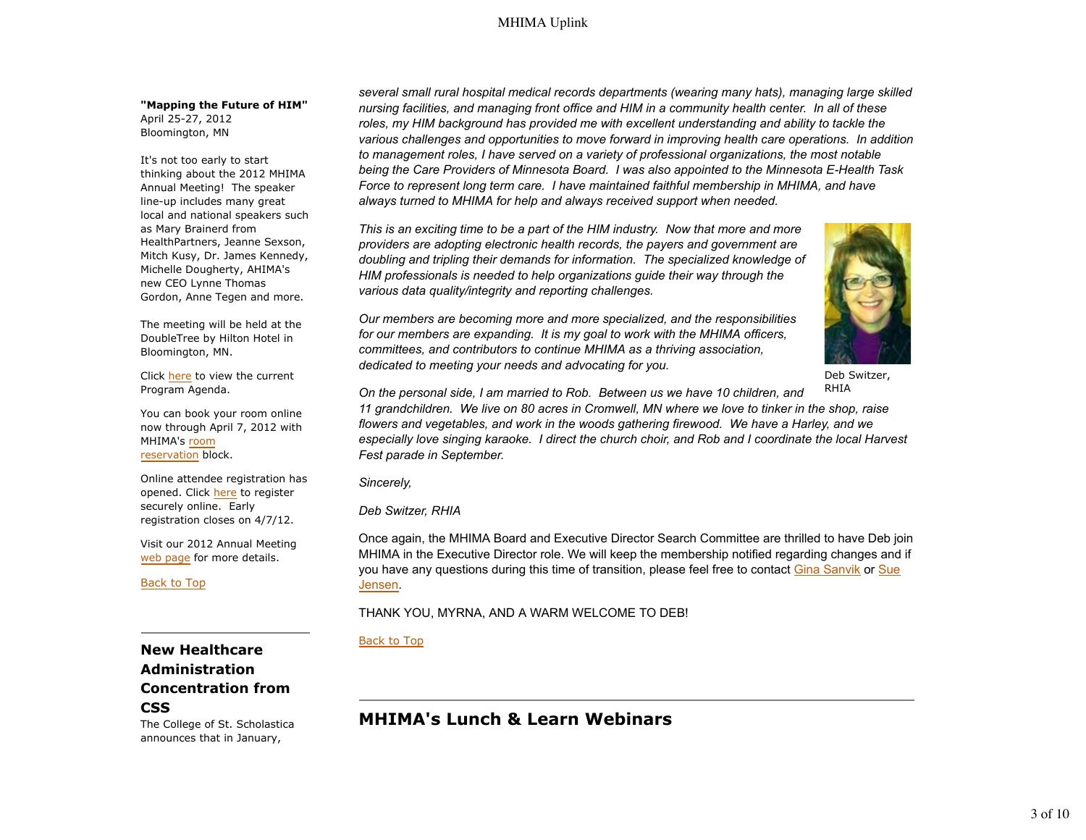#### **"Mapping the Future of HIM"** April 25-27, 2012

Bloomington, MN

It's not too early to start thinking about the 2012 MHIMA Annual Meeting! The speaker line-up includes many great local and national speakers such as Mary Brainerd from HealthPartners, Jeanne Sexson, Mitch Kusy, Dr. James Kennedy, Michelle Dougherty, AHIMA's new CEO Lynne Thomas Gordon, Anne Tegen and more.

The meeting will be held at the DoubleTree by Hilton Hotel in Bloomington, MN.

Click here to view the current Program Agenda.

You can book your room online now through April 7, 2012 with MHIMA's room reservation block.

Online attendee registration has opened. Click here to register securely online. Early registration closes on 4/7/12.

Visit our 2012 Annual Meeting web page for more details.

Back to Top

# **New Healthcare Administration Concentration from CSS**

The College of St. Scholastica announces that in January,

*several small rural hospital medical records departments (wearing many hats), managing large skilled nursing facilities, and managing front office and HIM in a community health center. In all of these roles, my HIM background has provided me with excellent understanding and ability to tackle the various challenges and opportunities to move forward in improving health care operations. In addition to management roles, I have served on a variety of professional organizations, the most notable being the Care Providers of Minnesota Board. I was also appointed to the Minnesota E-Health Task Force to represent long term care. I have maintained faithful membership in MHIMA, and have always turned to MHIMA for help and always received support when needed.* 

*This is an exciting time to be a part of the HIM industry. Now that more and more providers are adopting electronic health records, the payers and government are doubling and tripling their demands for information. The specialized knowledge of HIM professionals is needed to help organizations guide their way through the various data quality/integrity and reporting challenges.* 

*Our members are becoming more and more specialized, and the responsibilities for our members are expanding. It is my goal to work with the MHIMA officers, committees, and contributors to continue MHIMA as a thriving association, dedicated to meeting your needs and advocating for you.* 



Deb Switzer,

RHIA *On the personal side, I am married to Rob. Between us we have 10 children, and 11 grandchildren. We live on 80 acres in Cromwell, MN where we love to tinker in the shop, raise flowers and vegetables, and work in the woods gathering firewood. We have a Harley, and we especially love singing karaoke. I direct the church choir, and Rob and I coordinate the local Harvest Fest parade in September.* 

*Sincerely,*

*Deb Switzer, RHIA*

Once again, the MHIMA Board and Executive Director Search Committee are thrilled to have Deb join MHIMA in the Executive Director role. We will keep the membership notified regarding changes and if you have any questions during this time of transition, please feel free to contact Gina Sanvik or Sue Jensen.

### THANK YOU, MYRNA, AND A WARM WELCOME TO DEB!

### Back to Top

# **MHIMA's Lunch & Learn Webinars**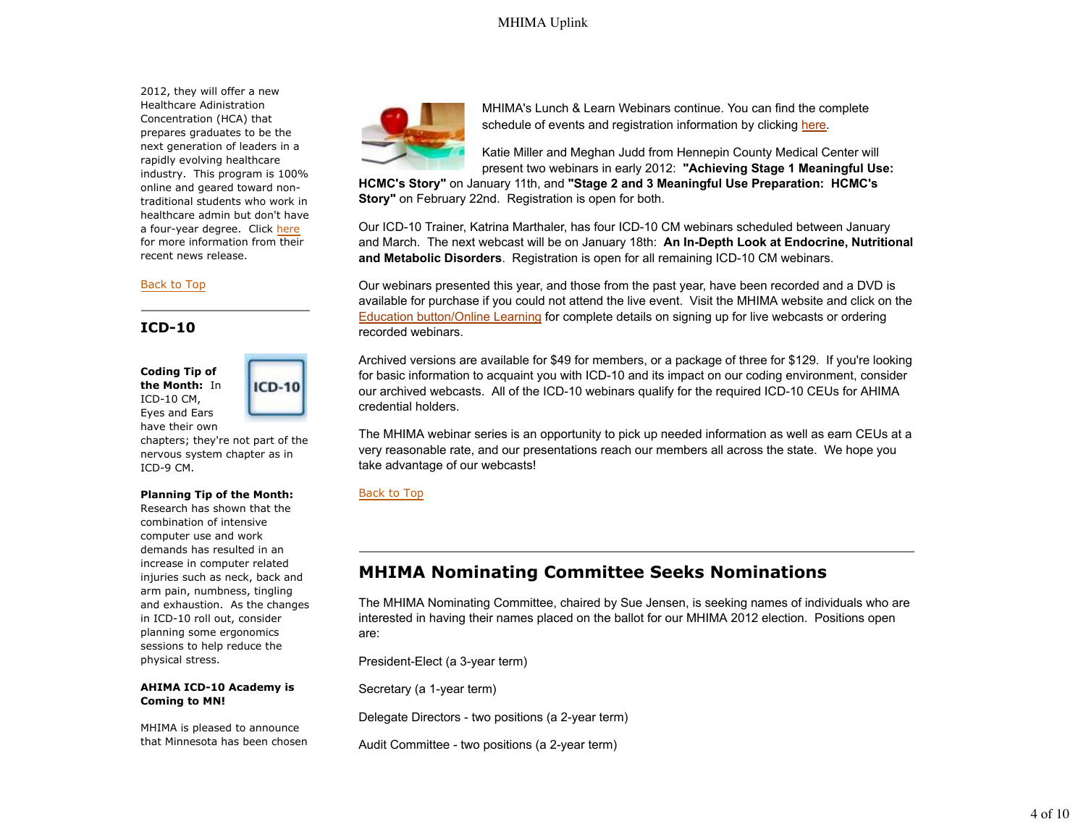2012, they will offer a new Healthcare Adinistration Concentration (HCA) that prepares graduates to be the next generation of leaders in a rapidly evolving healthcare industry. This program is 100% online and geared toward nontraditional students who work in healthcare admin but don't have a four-year degree. Click here for more information from their recent news release.

#### Back to Top

#### **ICD-10**

**Coding Tip of the Month:** In ICD-10 CM, Eyes and Ears have their own



chapters; they're not part of the nervous system chapter as in ICD-9 CM.

#### **Planning Tip of the Month:**

Research has shown that the combination of intensive computer use and work demands has resulted in an increase in computer related injuries such as neck, back and arm pain, numbness, tingling and exhaustion. As the changes in ICD-10 roll out, consider planning some ergonomics sessions to help reduce the physical stress.

#### **AHIMA ICD-10 Academy is Coming to MN!**

MHIMA is pleased to announce that Minnesota has been chosen



MHIMA's Lunch & Learn Webinars continue. You can find the complete schedule of events and registration information by clicking here.

Katie Miller and Meghan Judd from Hennepin County Medical Center will present two webinars in early 2012: **"Achieving Stage 1 Meaningful Use:** 

**HCMC's Story"** on January 11th, and **"Stage 2 and 3 Meaningful Use Preparation: HCMC's Story"** on February 22nd. Registration is open for both.

Our ICD-10 Trainer, Katrina Marthaler, has four ICD-10 CM webinars scheduled between January and March. The next webcast will be on January 18th: **An In-Depth Look at Endocrine, Nutritional and Metabolic Disorders**. Registration is open for all remaining ICD-10 CM webinars.

Our webinars presented this year, and those from the past year, have been recorded and a DVD is available for purchase if you could not attend the live event. Visit the MHIMA website and click on the Education button/Online Learning for complete details on signing up for live webcasts or ordering recorded webinars.

Archived versions are available for \$49 for members, or a package of three for \$129. If you're looking for basic information to acquaint you with ICD-10 and its impact on our coding environment, consider our archived webcasts. All of the ICD-10 webinars qualify for the required ICD-10 CEUs for AHIMA credential holders.

The MHIMA webinar series is an opportunity to pick up needed information as well as earn CEUs at a very reasonable rate, and our presentations reach our members all across the state. We hope you take advantage of our webcasts!

### Back to Top

# **MHIMA Nominating Committee Seeks Nominations**

The MHIMA Nominating Committee, chaired by Sue Jensen, is seeking names of individuals who are interested in having their names placed on the ballot for our MHIMA 2012 election. Positions open are:

President-Elect (a 3-year term)

Secretary (a 1-year term)

Delegate Directors - two positions (a 2-year term)

Audit Committee - two positions (a 2-year term)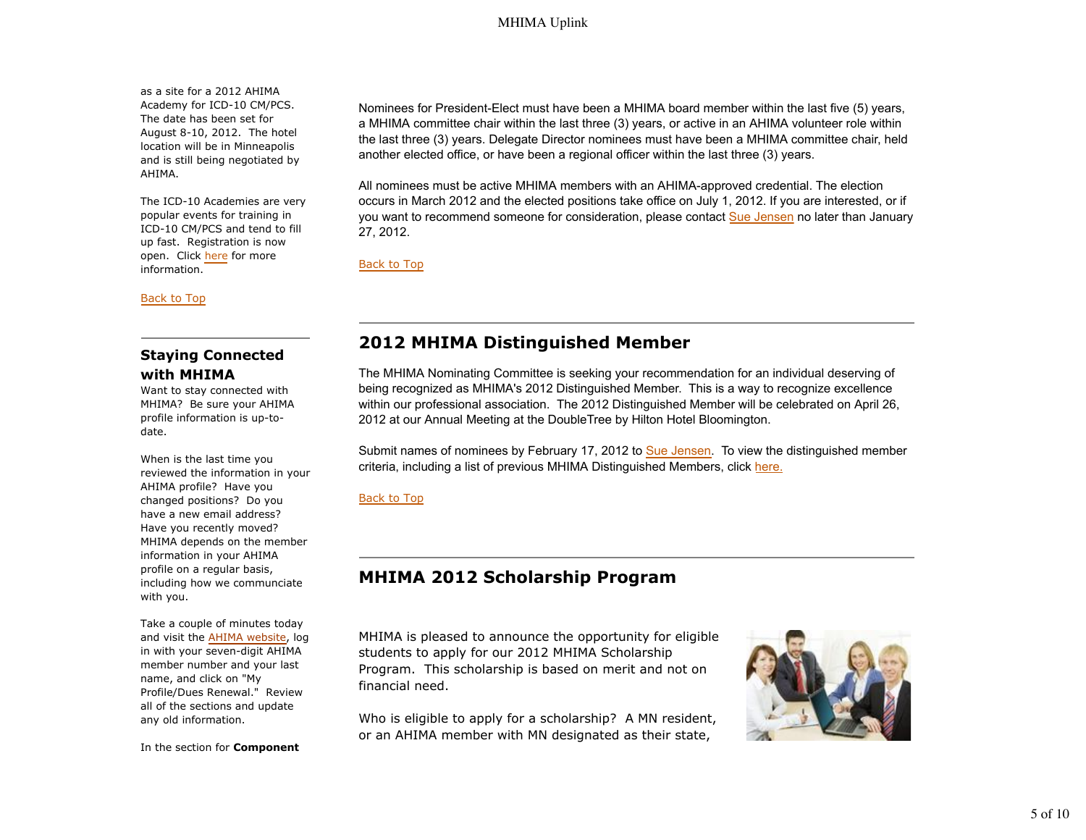as a site for a 2012 AHIMA Academy for ICD-10 CM/PCS. The date has been set for August 8-10, 2012. The hotel location will be in Minneapolis and is still being negotiated by AHIMA.

The ICD-10 Academies are very popular events for training in ICD-10 CM/PCS and tend to fill up fast. Registration is now open. Click here for more information.

Back to Top

# **Staying Connected with MHIMA**

Want to stay connected with MHIMA? Be sure your AHIMA profile information is up-todate.

When is the last time you reviewed the information in your AHIMA profile? Have you changed positions? Do you have a new email address? Have you recently moved? MHIMA depends on the member information in your AHIMA profile on a regular basis, including how we communciate with you.

Take a couple of minutes today and visit the AHIMA website, log in with your seven-digit AHIMA member number and your last name, and click on "My Profile/Dues Renewal." Review all of the sections and update any old information.

In the section for **Component**

Nominees for President-Elect must have been a MHIMA board member within the last five (5) years, a MHIMA committee chair within the last three (3) years, or active in an AHIMA volunteer role within the last three (3) years. Delegate Director nominees must have been a MHIMA committee chair, held another elected office, or have been a regional officer within the last three (3) years.

All nominees must be active MHIMA members with an AHIMA-approved credential. The election occurs in March 2012 and the elected positions take office on July 1, 2012. If you are interested, or if you want to recommend someone for consideration, please contact Sue Jensen no later than January 27, 2012.

Back to Top

# **2012 MHIMA Distinguished Member**

The MHIMA Nominating Committee is seeking your recommendation for an individual deserving of being recognized as MHIMA's 2012 Distinguished Member. This is a way to recognize excellence within our professional association. The 2012 Distinguished Member will be celebrated on April 26, 2012 at our Annual Meeting at the DoubleTree by Hilton Hotel Bloomington.

Submit names of nominees by February 17, 2012 to Sue Jensen. To view the distinguished member criteria, including a list of previous MHIMA Distinguished Members, click here.

### Back to Top

# **MHIMA 2012 Scholarship Program**

MHIMA is pleased to announce the opportunity for eligible students to apply for our 2012 MHIMA Scholarship Program. This scholarship is based on merit and not on financial need.

Who is eligible to apply for a scholarship? A MN resident, or an AHIMA member with MN designated as their state,

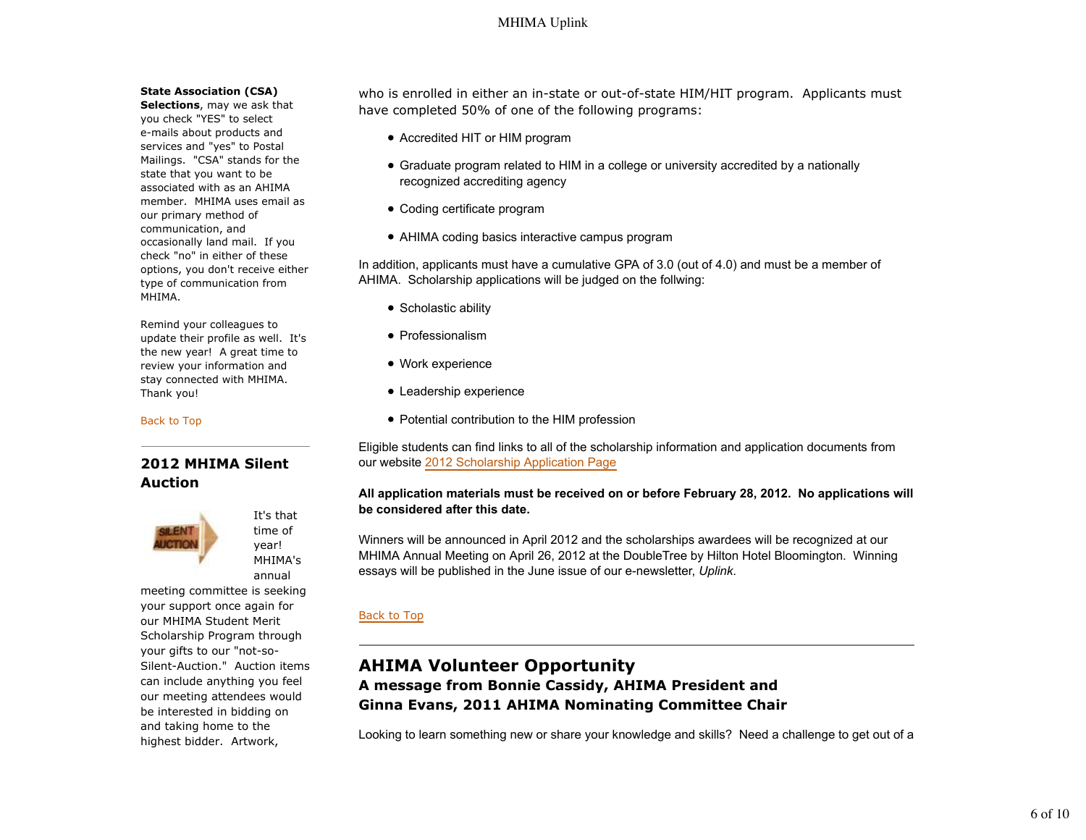#### **State Association (CSA)**

**Selections**, may we ask that you check "YES" to select e-mails about products and services and "yes" to Postal Mailings. "CSA" stands for the state that you want to be associated with as an AHIMA member. MHIMA uses email as our primary method of communication, and occasionally land mail. If you check "no" in either of these options, you don't receive either type of communication from MHIMA.

Remind your colleagues to update their profile as well. It's the new year! A great time to review your information and stay connected with MHIMA. Thank you!

#### Back to Top

## **2012 MHIMA Silent Auction**



It's that time of year! MHIMA's annual

meeting committee is seeking your support once again for our MHIMA Student Merit Scholarship Program through your gifts to our "not-so-Silent-Auction." Auction items can include anything you feel our meeting attendees would be interested in bidding on and taking home to the highest bidder. Artwork,

who is enrolled in either an in-state or out-of-state HIM/HIT program. Applicants must have completed 50% of one of the following programs:

- Accredited HIT or HIM program
- Graduate program related to HIM in a college or university accredited by a nationally recognized accrediting agency
- Coding certificate program
- AHIMA coding basics interactive campus program

In addition, applicants must have a cumulative GPA of 3.0 (out of 4.0) and must be a member of AHIMA. Scholarship applications will be judged on the follwing:

- Scholastic ability
- Professionalism
- Work experience
- Leadership experience
- Potential contribution to the HIM profession

Eligible students can find links to all of the scholarship information and application documents from our website 2012 Scholarship Application Page

### **All application materials must be received on or before February 28, 2012. No applications will be considered after this date.**

Winners will be announced in April 2012 and the scholarships awardees will be recognized at our MHIMA Annual Meeting on April 26, 2012 at the DoubleTree by Hilton Hotel Bloomington. Winning essays will be published in the June issue of our e-newsletter, *Uplink*.

#### Back to Top

# **AHIMA Volunteer Opportunity A message from Bonnie Cassidy, AHIMA President and Ginna Evans, 2011 AHIMA Nominating Committee Chair**

Looking to learn something new or share your knowledge and skills? Need a challenge to get out of a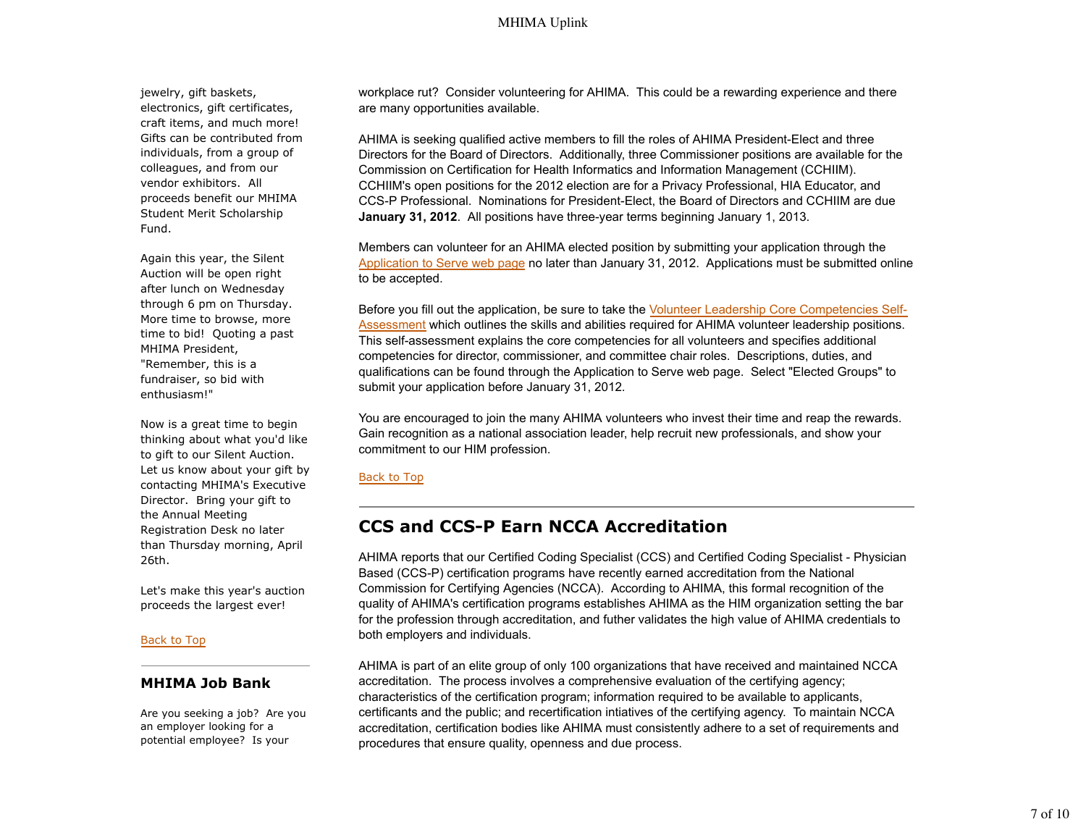jewelry, gift baskets, electronics, gift certificates, craft items, and much more! Gifts can be contributed from individuals, from a group of colleagues, and from our vendor exhibitors. All proceeds benefit our MHIMA Student Merit Scholarship Fund.

Again this year, the Silent Auction will be open right after lunch on Wednesday through 6 pm on Thursday. More time to browse, more time to bid! Quoting a past MHIMA President, "Remember, this is a fundraiser, so bid with enthusiasm!"

Now is a great time to begin thinking about what you'd like to gift to our Silent Auction. Let us know about your gift by contacting MHIMA's Executive Director. Bring your gift to the Annual Meeting Registration Desk no later than Thursday morning, April 26th.

Let's make this year's auction proceeds the largest ever!

#### Back to Top

### **MHIMA Job Bank**

Are you seeking a job? Are you an employer looking for a potential employee? Is your

workplace rut? Consider volunteering for AHIMA. This could be a rewarding experience and there are many opportunities available.

AHIMA is seeking qualified active members to fill the roles of AHIMA President-Elect and three Directors for the Board of Directors. Additionally, three Commissioner positions are available for the Commission on Certification for Health Informatics and Information Management (CCHIIM). CCHIIM's open positions for the 2012 election are for a Privacy Professional, HIA Educator, and CCS-P Professional. Nominations for President-Elect, the Board of Directors and CCHIIM are due **January 31, 2012**. All positions have three-year terms beginning January 1, 2013.

Members can volunteer for an AHIMA elected position by submitting your application through the Application to Serve web page no later than January 31, 2012. Applications must be submitted online to be accepted.

Before you fill out the application, be sure to take the Volunteer Leadership Core Competencies Self-Assessment which outlines the skills and abilities required for AHIMA volunteer leadership positions. This self-assessment explains the core competencies for all volunteers and specifies additional competencies for director, commissioner, and committee chair roles. Descriptions, duties, and qualifications can be found through the Application to Serve web page. Select "Elected Groups" to submit your application before January 31, 2012.

You are encouraged to join the many AHIMA volunteers who invest their time and reap the rewards. Gain recognition as a national association leader, help recruit new professionals, and show your commitment to our HIM profession.

#### Back to Top

# **CCS and CCS-P Earn NCCA Accreditation**

AHIMA reports that our Certified Coding Specialist (CCS) and Certified Coding Specialist - Physician Based (CCS-P) certification programs have recently earned accreditation from the National Commission for Certifying Agencies (NCCA). According to AHIMA, this formal recognition of the quality of AHIMA's certification programs establishes AHIMA as the HIM organization setting the bar for the profession through accreditation, and futher validates the high value of AHIMA credentials to both employers and individuals.

AHIMA is part of an elite group of only 100 organizations that have received and maintained NCCA accreditation. The process involves a comprehensive evaluation of the certifying agency; characteristics of the certification program; information required to be available to applicants, certificants and the public; and recertification intiatives of the certifying agency. To maintain NCCA accreditation, certification bodies like AHIMA must consistently adhere to a set of requirements and procedures that ensure quality, openness and due process.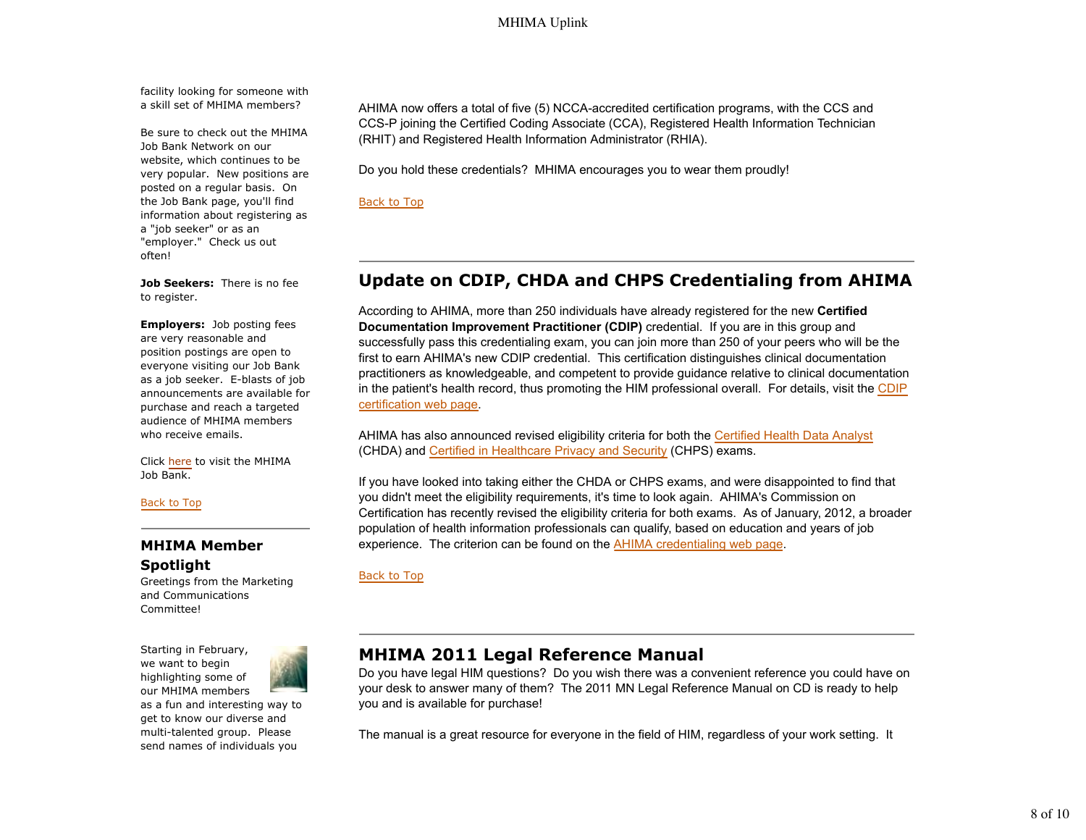facility looking for someone with a skill set of MHIMA members?

Be sure to check out the MHIMA Job Bank Network on our website, which continues to be very popular. New positions are posted on a regular basis. On the Job Bank page, you'll find information about registering as a "job seeker" or as an "employer." Check us out often!

**Job Seekers:** There is no fee to register.

**Employers:** Job posting fees are very reasonable and position postings are open to everyone visiting our Job Bank as a job seeker. E-blasts of job announcements are available for purchase and reach a targeted audience of MHIMA members who receive emails.

Click here to visit the MHIMA Job Bank.

Back to Top

## **MHIMA Member Spotlight**

Greetings from the Marketing and Communications Committee!

Starting in February, we want to begin highlighting some of our MHIMA members as a fun and interesting way to get to know our diverse and multi-talented group. Please

send names of individuals you

AHIMA now offers a total of five (5) NCCA-accredited certification programs, with the CCS and CCS-P joining the Certified Coding Associate (CCA), Registered Health Information Technician (RHIT) and Registered Health Information Administrator (RHIA).

Do you hold these credentials? MHIMA encourages you to wear them proudly!

Back to Top

# **Update on CDIP, CHDA and CHPS Credentialing from AHIMA**

According to AHIMA, more than 250 individuals have already registered for the new **Certified Documentation Improvement Practitioner (CDIP)** credential. If you are in this group and successfully pass this credentialing exam, you can join more than 250 of your peers who will be the first to earn AHIMA's new CDIP credential. This certification distinguishes clinical documentation practitioners as knowledgeable, and competent to provide guidance relative to clinical documentation in the patient's health record, thus promoting the HIM professional overall. For details, visit the CDIP certification web page.

AHIMA has also announced revised eligibility criteria for both the Certified Health Data Analyst (CHDA) and Certified in Healthcare Privacy and Security (CHPS) exams.

If you have looked into taking either the CHDA or CHPS exams, and were disappointed to find that you didn't meet the eligibility requirements, it's time to look again. AHIMA's Commission on Certification has recently revised the eligibility criteria for both exams. As of January, 2012, a broader population of health information professionals can qualify, based on education and years of job experience. The criterion can be found on the AHIMA credentialing web page.

Back to Top

# **MHIMA 2011 Legal Reference Manual**

Do you have legal HIM questions? Do you wish there was a convenient reference you could have on your desk to answer many of them? The 2011 MN Legal Reference Manual on CD is ready to help you and is available for purchase!

The manual is a great resource for everyone in the field of HIM, regardless of your work setting. It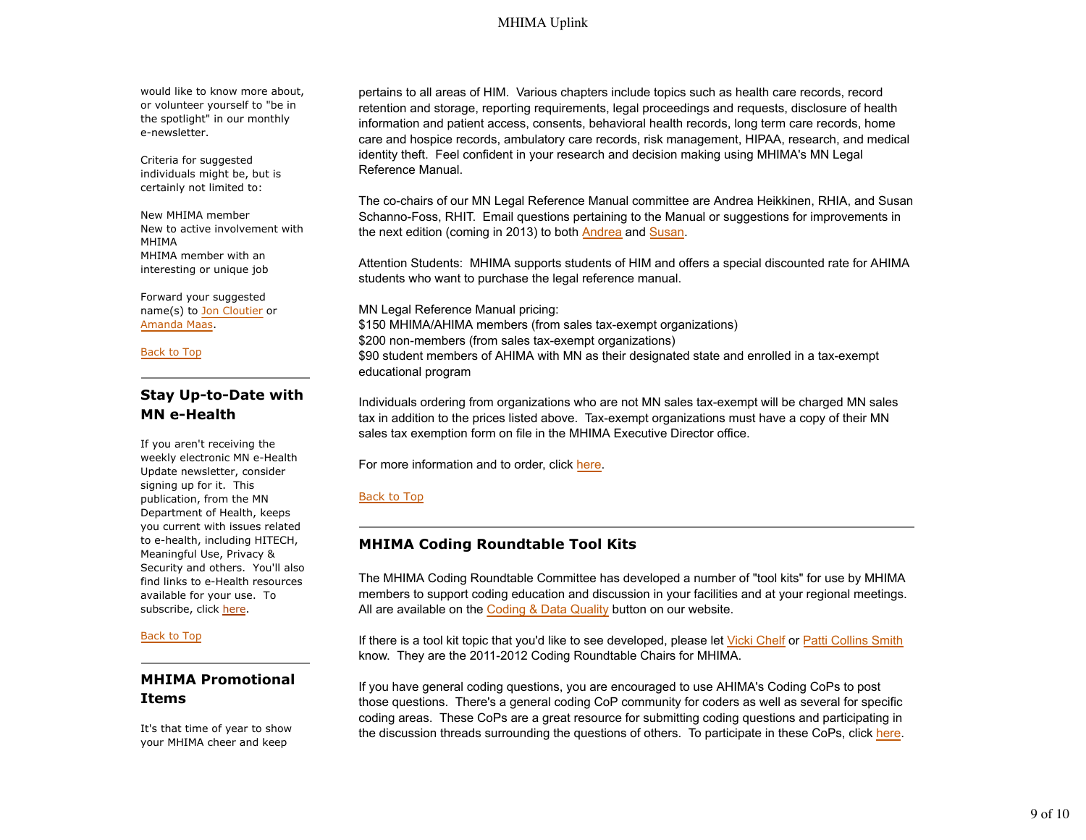would like to know more about, or volunteer yourself to "be in the spotlight" in our monthly e-newsletter.

Criteria for suggested individuals might be, but is certainly not limited to:

New MHIMA member New to active involvement with MHIMA MHIMA member with an interesting or unique job

Forward your suggested name(s) to Jon Cloutier or Amanda Maas.

Back to Top

# **Stay Up-to-Date with MN e-Health**

If you aren't receiving the weekly electronic MN e-Health Update newsletter, consider signing up for it. This publication, from the MN Department of Health, keeps you current with issues related to e-health, including HITECH, Meaningful Use, Privacy & Security and others. You'll also find links to e-Health resources available for your use. To subscribe, click here.

#### Back to Top

# **MHIMA Promotional Items**

It's that time of year to show your MHIMA cheer and keep

pertains to all areas of HIM. Various chapters include topics such as health care records, record retention and storage, reporting requirements, legal proceedings and requests, disclosure of health information and patient access, consents, behavioral health records, long term care records, home care and hospice records, ambulatory care records, risk management, HIPAA, research, and medical identity theft. Feel confident in your research and decision making using MHIMA's MN Legal Reference Manual.

The co-chairs of our MN Legal Reference Manual committee are Andrea Heikkinen, RHIA, and Susan Schanno-Foss, RHIT. Email questions pertaining to the Manual or suggestions for improvements in the next edition (coming in 2013) to both Andrea and Susan.

Attention Students: MHIMA supports students of HIM and offers a special discounted rate for AHIMA students who want to purchase the legal reference manual.

MN Legal Reference Manual pricing: \$150 MHIMA/AHIMA members (from sales tax-exempt organizations) \$200 non-members (from sales tax-exempt organizations) \$90 student members of AHIMA with MN as their designated state and enrolled in a tax-exempt educational program

Individuals ordering from organizations who are not MN sales tax-exempt will be charged MN sales tax in addition to the prices listed above. Tax-exempt organizations must have a copy of their MN sales tax exemption form on file in the MHIMA Executive Director office.

For more information and to order, click here.

### Back to Top

## **MHIMA Coding Roundtable Tool Kits**

The MHIMA Coding Roundtable Committee has developed a number of "tool kits" for use by MHIMA members to support coding education and discussion in your facilities and at your regional meetings. All are available on the Coding & Data Quality button on our website.

If there is a tool kit topic that you'd like to see developed, please let Vicki Chelf or Patti Collins Smith know. They are the 2011-2012 Coding Roundtable Chairs for MHIMA.

If you have general coding questions, you are encouraged to use AHIMA's Coding CoPs to post those questions. There's a general coding CoP community for coders as well as several for specific coding areas. These CoPs are a great resource for submitting coding questions and participating in the discussion threads surrounding the questions of others. To participate in these CoPs, click here.